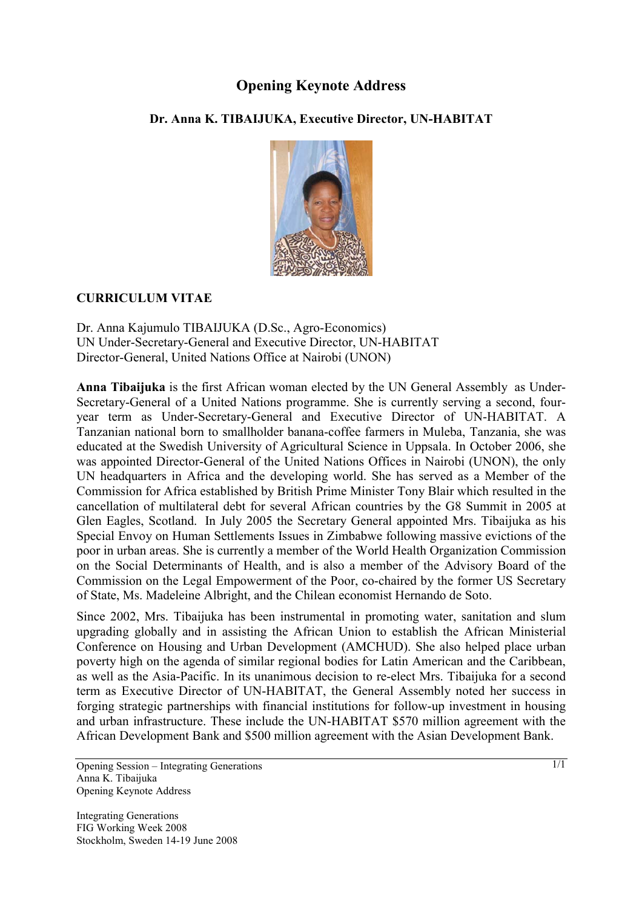## **Opening Keynote Address**

## **Dr. Anna K. TIBAIJUKA, Executive Director, UN-HABITAT**



## **CURRICULUM VITAE**

Dr. Anna Kajumulo TIBAIJUKA (D.Sc., Agro-Economics) UN Under-Secretary-General and Executive Director, UN-HABITAT Director-General, United Nations Office at Nairobi (UNON)

**Anna Tibaijuka** is the first African woman elected by the UN General Assembly as Under-Secretary-General of a United Nations programme. She is currently serving a second, fouryear term as Under-Secretary-General and Executive Director of UN-HABITAT. A Tanzanian national born to smallholder banana-coffee farmers in Muleba, Tanzania, she was educated at the Swedish University of Agricultural Science in Uppsala. In October 2006, she was appointed Director-General of the United Nations Offices in Nairobi (UNON), the only UN headquarters in Africa and the developing world. She has served as a Member of the Commission for Africa established by British Prime Minister Tony Blair which resulted in the cancellation of multilateral debt for several African countries by the G8 Summit in 2005 at Glen Eagles, Scotland. In July 2005 the Secretary General appointed Mrs. Tibaijuka as his Special Envoy on Human Settlements Issues in Zimbabwe following massive evictions of the poor in urban areas. She is currently a member of the World Health Organization Commission on the Social Determinants of Health, and is also a member of the Advisory Board of the Commission on the Legal Empowerment of the Poor, co-chaired by the former US Secretary of State, Ms. Madeleine Albright, and the Chilean economist Hernando de Soto.

Since 2002, Mrs. Tibaijuka has been instrumental in promoting water, sanitation and slum upgrading globally and in assisting the African Union to establish the African Ministerial Conference on Housing and Urban Development (AMCHUD). She also helped place urban poverty high on the agenda of similar regional bodies for Latin American and the Caribbean, as well as the Asia-Pacific. In its unanimous decision to re-elect Mrs. Tibaijuka for a second term as Executive Director of UN-HABITAT, the General Assembly noted her success in forging strategic partnerships with financial institutions for follow-up investment in housing and urban infrastructure. These include the UN-HABITAT \$570 million agreement with the African Development Bank and \$500 million agreement with the Asian Development Bank.

Opening Session – Integrating Generations Anna K. Tibaijuka Opening Keynote Address

Integrating Generations FIG Working Week 2008 Stockholm, Sweden 14-19 June 2008